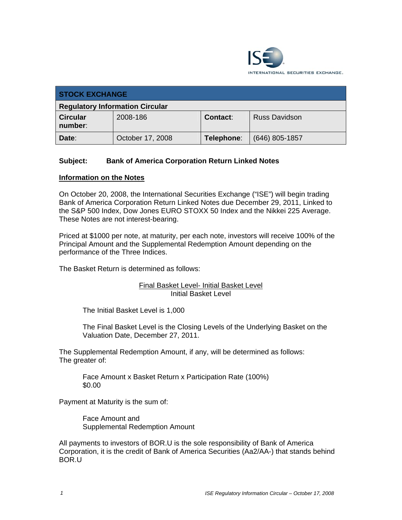

| <b>STOCK EXCHANGE</b>                  |                  |            |                      |  |
|----------------------------------------|------------------|------------|----------------------|--|
| <b>Regulatory Information Circular</b> |                  |            |                      |  |
| <b>Circular</b><br>number:             | 2008-186         | Contact:   | <b>Russ Davidson</b> |  |
| Date:                                  | October 17, 2008 | Telephone: | $(646)$ 805-1857     |  |

## **Subject: Bank of America Corporation Return Linked Notes**

## **Information on the Notes**

On October 20, 2008, the International Securities Exchange ("ISE") will begin trading Bank of America Corporation Return Linked Notes due December 29, 2011, Linked to the S&P 500 Index, Dow Jones EURO STOXX 50 Index and the Nikkei 225 Average. These Notes are not interest-bearing.

Priced at \$1000 per note, at maturity, per each note, investors will receive 100% of the Principal Amount and the Supplemental Redemption Amount depending on the performance of the Three Indices.

The Basket Return is determined as follows:

## Final Basket Level- Initial Basket Level Initial Basket Level

The Initial Basket Level is 1,000

The Final Basket Level is the Closing Levels of the Underlying Basket on the Valuation Date, December 27, 2011.

The Supplemental Redemption Amount, if any, will be determined as follows: The greater of:

Face Amount x Basket Return x Participation Rate (100%) \$0.00

Payment at Maturity is the sum of:

Face Amount and Supplemental Redemption Amount

All payments to investors of BOR.U is the sole responsibility of Bank of America Corporation, it is the credit of Bank of America Securities (Aa2/AA-) that stands behind BOR.U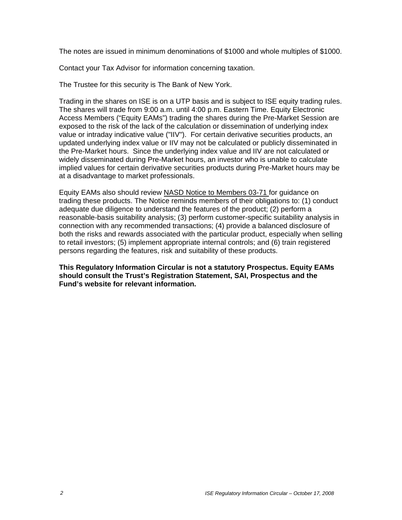The notes are issued in minimum denominations of \$1000 and whole multiples of \$1000.

Contact your Tax Advisor for information concerning taxation.

The Trustee for this security is The Bank of New York.

Trading in the shares on ISE is on a UTP basis and is subject to ISE equity trading rules. The shares will trade from 9:00 a.m. until 4:00 p.m. Eastern Time. Equity Electronic Access Members ("Equity EAMs") trading the shares during the Pre-Market Session are exposed to the risk of the lack of the calculation or dissemination of underlying index value or intraday indicative value ("IIV"). For certain derivative securities products, an updated underlying index value or IIV may not be calculated or publicly disseminated in the Pre-Market hours. Since the underlying index value and IIV are not calculated or widely disseminated during Pre-Market hours, an investor who is unable to calculate implied values for certain derivative securities products during Pre-Market hours may be at a disadvantage to market professionals.

Equity EAMs also should review NASD Notice to Members 03-71 for guidance on trading these products. The Notice reminds members of their obligations to: (1) conduct adequate due diligence to understand the features of the product; (2) perform a reasonable-basis suitability analysis; (3) perform customer-specific suitability analysis in connection with any recommended transactions; (4) provide a balanced disclosure of both the risks and rewards associated with the particular product, especially when selling to retail investors; (5) implement appropriate internal controls; and (6) train registered persons regarding the features, risk and suitability of these products.

**This Regulatory Information Circular is not a statutory Prospectus. Equity EAMs should consult the Trust's Registration Statement, SAI, Prospectus and the Fund's website for relevant information.**